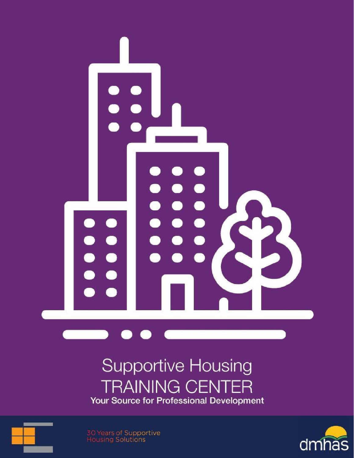

# **Supportive Housing TRAINING CENTER** Your Source for Professional Development



30 Years of Supportive<br>Housing Solutions

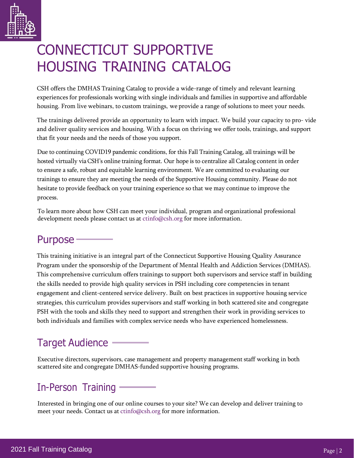

# CONNECTICUT SUPPORTIVE HOUSING TRAINING CATALOG

CSH offers the DMHAS Training Catalog to provide a wide-range of timely and relevant learning experiences for professionals working with single individuals and families in supportive and affordable housing. From live webinars, to custom trainings, we provide a range of solutions to meet your needs.

The trainings delivered provide an opportunity to learn with impact. We build your capacity to pro- vide and deliver quality services and housing. With a focus on thriving we offer tools, trainings, and support that fit your needs and the needs of those you support.

Due to continuing COVID19 pandemic conditions, for this Fall Training Catalog, all trainings will be hosted virtually viaCSH's online training format. Our hope is to centralize all Catalog content in order to ensure a safe, robust and equitable learning environment. We are committed to evaluating our trainings to ensure they are meeting the needs of the Supportive Housing community. Please do not hesitate to provide feedback on your training experience so that we may continue to improve the process.

To learn more about how CSH can meet your individual, program and organizational professional development needs please contact us at [ctinfo@csh.org](mailto:ctinfo@csh.org) for more information.

## Purpose

This training initiative is an integral part of the Connecticut Supportive Housing Quality Assurance Program under the sponsorship of the Department of Mental Health and Addiction Services (DMHAS). This comprehensive curriculum offers trainings to support both supervisors and service staff in building the skills needed to provide high quality services in PSH including core competencies in tenant engagement and client-centered service delivery. Built on best practices in supportive housing service strategies, this curriculum provides supervisors and staff working in both scattered site and congregate PSH with the tools and skills they need to support and strengthen their work in providing services to both individuals and families with complex service needs who have experienced homelessness.

## Target Audience

Executive directors, supervisors, case management and property management staff working in both scattered site and congregate DMHAS-funded supportive housing programs.

## In-Person Training

Interested in bringing one of our online courses to your site? We can develop and deliver training to meet your needs. Contact us at [ctinfo@csh.org](mailto:ctinfo@csh.org) for more information.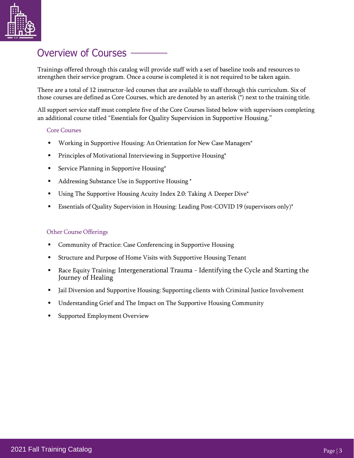

### Overview of Courses

Trainings offered through this catalog will provide staff with a set of baseline tools and resources to strengthen their service program. Once a course is completed it is not required to be taken again.

There are a total of 12 instructor-led courses that are available to staff through this curriculum. Six of those courses are defined as Core Courses, which are denoted by an asterisk (\*) next to the training title.

All support service staff must complete five of the Core Courses listed below with supervisors completing an additional course titled "Essentials for Quality Supervision in Supportive Housing."

#### Core Courses

- **Working in Supportive Housing: An Orientation for New Case Managers\***
- Principles of Motivational Interviewing in Supportive Housing\*
- Service Planning in Supportive Housing\*
- Addressing Substance Use in Supportive Housing \*
- Using The Supportive Housing Acuity Index 2.0: Taking A Deeper Dive\*
- Essentials of Quality Supervision in Housing: Leading Post-COVID 19 (supervisors only)\*

#### Other Course Offerings

- Community of Practice: Case Conferencing in Supportive Housing
- Structure and Purpose of Home Visits with Supportive Housing Tenant
- Race Equity Training: Intergenerational Trauma Identifying the Cycle and Starting the Journey of Healing
- Jail Diversion and Supportive Housing: Supporting clients with Criminal Justice Involvement
- Understanding Grief and The Impact on The Supportive Housing Community
- **Supported Employment Overview**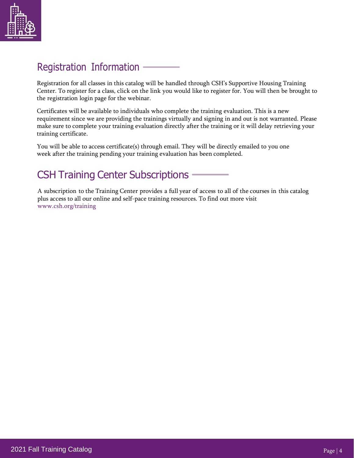

## Registration Information

Registration for all classes in this catalog will be handled through CSH's Supportive Housing Training Center. To register for a class, click on the link you would like to register for. You will then be brought to the registration login page for the webinar.

Certificates will be available to individuals who complete the training evaluation. This is a new requirement since we are providing the trainings virtually and signing in and out is not warranted. Please make sure to complete your training evaluation directly after the training or it will delay retrieving your training certificate.

You will be able to access certificate(s) through email. They will be directly emailed to you one week after the training pending your training evaluation has been completed.



A subscription to the Training Center provides a full year of access to all of the courses in this catalog plus access to all our online and self-pace training resources. To find out more visit [www.csh.org/training](http://www.csh.org/training)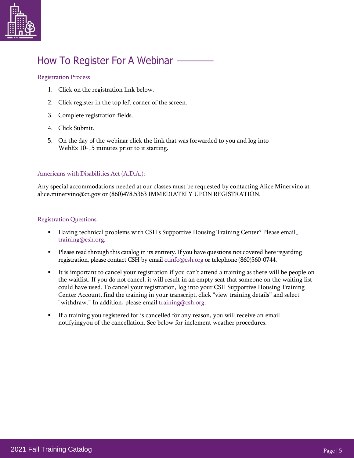

### How To Register For A Webinar

#### Registration Process

- 1. Click on the registration link below.
- 2. Click register in the top left corner of the screen.
- 3. Complete registration fields.
- 4. Click Submit.
- 5. On the day of the webinar click the link that was forwarded to you and log into WebEx 10-15 minutes prior to it starting.

#### Americans with Disabilities Act (A.D.A.):

Any special accommodations needed at our classes must be requested by contacting Alice Minervino at [alice.minervino@ct.gov](mailto:alice.minervino@ct.gov) or (860)478.5363 IMMEDIATELY UPON REGISTRATION.

#### Registration Questions

- **•** Having technical problems with CSH's Supportive Housing Training Center? Please email [training@csh.org.](mailto:training@csh.org)
- Please read through this catalog in its entirety. If you have questions not covered here regarding registration, please contact CSH by email [ctinfo@csh.org](mailto:ctinfo@csh.org) or telephone (860)560-0744.
- It is important to cancel your registration if you can't attend a training as there will be people on the waitlist. If you do not cancel, it will result in an empty seat that someone on the waiting list could have used. To cancel your registration, log into your CSH Supportive Housing Training Center Account, find the training in your transcript, click "view training details" and select "withdraw." In addition, please email [training@csh.org.](mailto:training@csh.org)
- If a training you registered for is cancelled for any reason, you will receive an email notifyingyou of the cancellation. See below for inclement weather procedures.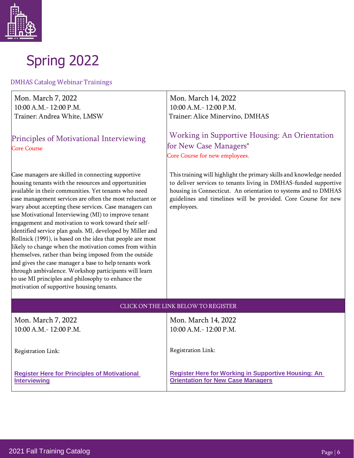# Spring 2022

#### DMHAS Catalog Webinar Trainings

Mon. March 7, 2022 10:00 A.M.- 12:00 P.M. Trainer: Andrea White, LMSW

#### Principles of Motivational Interviewing Core Course

Case managers are skilled in connecting supportive housing tenants with the resources and opportunities available in their communities. Yet tenants who need case management services are often the most reluctant or wary about accepting these services. Case managers can use Motivational Interviewing (MI) to improve tenant engagement and motivation to work toward their selfidentified service plan goals. MI, developed by Miller and Rollnick (1991), is based on the idea that people are most likely to change when the motivation comes from within themselves, rather than being imposed from the outside and gives the case manager a base to help tenants work through ambivalence. Workshop participants will learn to use MI principles and philosophy to enhance the motivation of supportive housing tenants.

Mon. March 14, 2022 10:00 A.M.- 12:00 P.M. Trainer: Alice Minervino, DMHAS

Working in Supportive Housing: An Orientation for New Case Managers\* Core Course for new employees.

This training will highlight the primary skills and knowledge needed to deliver services to tenants living in DMHAS-funded supportive housing in Connecticut. An orientation to systems and to DMHAS guidelines and timelines will be provided. Core Course for new employees.

#### CLICK ON THE LINK BELOWTO REGISTER

| Mon. March 7, 2022                                  | Mon. March 14, 2022                                        |
|-----------------------------------------------------|------------------------------------------------------------|
| $10:00$ A.M. $-12:00$ P.M.                          | $10:00$ A.M. $- 12:00$ P.M.                                |
| <b>Registration Link:</b>                           | <b>Registration Link:</b>                                  |
| <b>Register Here for Principles of Motivational</b> | <b>Register Here for Working in Supportive Housing: An</b> |
| <b>Interviewing</b>                                 | <b>Orientation for New Case Managers</b>                   |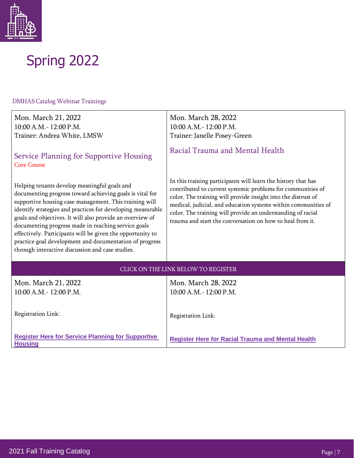

# Spring 2022

| Mon. March 21, 2022<br>10:00 A.M. - 12:00 P.M.<br>Trainer: Andrea White, LMSW                                                                                                                                                                                                                                                                                                                                                                                                                                                      | Mon. March 28, 2022<br>10:00 A.M. - 12:00 P.M.<br>Trainer: Janelle Posey-Green                                                                                                                                                                                                                                                                                                              |  |
|------------------------------------------------------------------------------------------------------------------------------------------------------------------------------------------------------------------------------------------------------------------------------------------------------------------------------------------------------------------------------------------------------------------------------------------------------------------------------------------------------------------------------------|---------------------------------------------------------------------------------------------------------------------------------------------------------------------------------------------------------------------------------------------------------------------------------------------------------------------------------------------------------------------------------------------|--|
| <b>Service Planning for Supportive Housing</b><br><b>Core Course</b>                                                                                                                                                                                                                                                                                                                                                                                                                                                               | Racial Trauma and Mental Health                                                                                                                                                                                                                                                                                                                                                             |  |
| Helping tenants develop meaningful goals and<br>documenting progress toward achieving goals is vital for<br>supportive housing case management. This training will<br>identify strategies and practices for developing measurable<br>goals and objectives. It will also provide an overview of<br>documenting progress made in reaching service goals<br>effectively. Participants will be given the opportunity to<br>practice goal development and documentation of progress<br>through interactive discussion and case studies. | In this training participants will learn the history that has<br>contributed to current systemic problems for communities of<br>color. The training will provide insight into the distrust of<br>medical, judicial, and education systems within communities of<br>color. The training will provide an understanding of racial<br>trauma and start the conversation on how to heal from it. |  |
| CLICK ON THE LINK BELOW TO REGISTER                                                                                                                                                                                                                                                                                                                                                                                                                                                                                                |                                                                                                                                                                                                                                                                                                                                                                                             |  |
| Mon. March 21, 2022<br>10:00 A.M. - 12:00 P.M.                                                                                                                                                                                                                                                                                                                                                                                                                                                                                     | Mon. March 28, 2022<br>10:00 A.M. - 12:00 P.M.                                                                                                                                                                                                                                                                                                                                              |  |
| Registration Link:                                                                                                                                                                                                                                                                                                                                                                                                                                                                                                                 | Registration Link:                                                                                                                                                                                                                                                                                                                                                                          |  |
| <b>Register Here for Service Planning for Supportive</b><br><b>Housing</b>                                                                                                                                                                                                                                                                                                                                                                                                                                                         | <b>Register Here for Racial Trauma and Mental Health</b>                                                                                                                                                                                                                                                                                                                                    |  |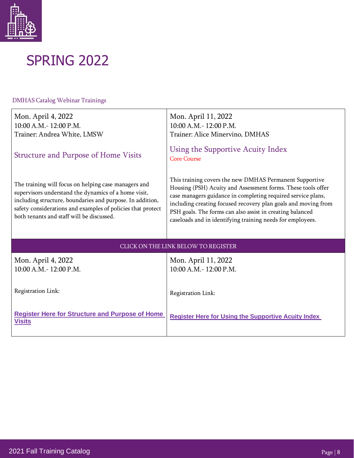

| Mon. April 4, 2022<br>10:00 A.M. - 12:00 P.M.<br>Trainer: Andrea White, LMSW                                                                                                                                                                                                          | Mon. April 11, 2022<br>10:00 A.M. - 12:00 P.M.<br>Trainer: Alice Minervino, DMHAS                                                                                                                                                                                                                                                                                                    |  |
|---------------------------------------------------------------------------------------------------------------------------------------------------------------------------------------------------------------------------------------------------------------------------------------|--------------------------------------------------------------------------------------------------------------------------------------------------------------------------------------------------------------------------------------------------------------------------------------------------------------------------------------------------------------------------------------|--|
| Structure and Purpose of Home Visits                                                                                                                                                                                                                                                  | Using the Supportive Acuity Index<br><b>Core Course</b>                                                                                                                                                                                                                                                                                                                              |  |
| The training will focus on helping case managers and<br>supervisors understand the dynamics of a home visit,<br>including structure, boundaries and purpose. In addition,<br>safety considerations and examples of policies that protect<br>both tenants and staff will be discussed. | This training covers the new DMHAS Permanent Supportive<br>Housing (PSH) Acuity and Assessment forms. These tools offer<br>case managers guidance in completing required service plans,<br>including creating focused recovery plan goals and moving from<br>PSH goals. The forms can also assist in creating balanced<br>caseloads and in identifying training needs for employees. |  |
| CLICK ON THE LINK BELOW TO REGISTER                                                                                                                                                                                                                                                   |                                                                                                                                                                                                                                                                                                                                                                                      |  |
| Mon. April 4, 2022<br>$10:00$ A.M. $- 12:00$ P.M.                                                                                                                                                                                                                                     | Mon. April 11, 2022<br>10:00 A.M. - 12:00 P.M.                                                                                                                                                                                                                                                                                                                                       |  |
| Registration Link:                                                                                                                                                                                                                                                                    | Registration Link:                                                                                                                                                                                                                                                                                                                                                                   |  |
| <b>Register Here for Structure and Purpose of Home</b><br><b>Visits</b>                                                                                                                                                                                                               | <b>Register Here for Using the Supportive Acuity Index</b>                                                                                                                                                                                                                                                                                                                           |  |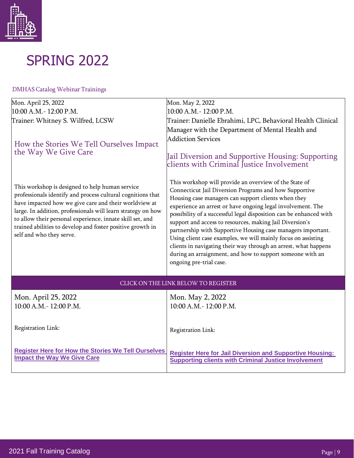

| Mon. April 25, 2022                                                                                                                                                                                                                                                                                                                                                                            | Mon. May 2, 2022                                                                                                                                                                                                                                                                                                                                                                                                                                                                                                                                                                                                                                                     |  |
|------------------------------------------------------------------------------------------------------------------------------------------------------------------------------------------------------------------------------------------------------------------------------------------------------------------------------------------------------------------------------------------------|----------------------------------------------------------------------------------------------------------------------------------------------------------------------------------------------------------------------------------------------------------------------------------------------------------------------------------------------------------------------------------------------------------------------------------------------------------------------------------------------------------------------------------------------------------------------------------------------------------------------------------------------------------------------|--|
| 10:00 A.M. - 12:00 P.M.                                                                                                                                                                                                                                                                                                                                                                        | 10:00 A.M. - 12:00 P.M.                                                                                                                                                                                                                                                                                                                                                                                                                                                                                                                                                                                                                                              |  |
| Trainer: Whitney S. Wilfred, LCSW                                                                                                                                                                                                                                                                                                                                                              | Trainer: Danielle Ebrahimi, LPC, Behavioral Health Clinical                                                                                                                                                                                                                                                                                                                                                                                                                                                                                                                                                                                                          |  |
|                                                                                                                                                                                                                                                                                                                                                                                                | Manager with the Department of Mental Health and                                                                                                                                                                                                                                                                                                                                                                                                                                                                                                                                                                                                                     |  |
|                                                                                                                                                                                                                                                                                                                                                                                                | <b>Addiction Services</b>                                                                                                                                                                                                                                                                                                                                                                                                                                                                                                                                                                                                                                            |  |
| How the Stories We Tell Ourselves Impact<br>the Way We Give Care                                                                                                                                                                                                                                                                                                                               | Jail Diversion and Supportive Housing: Supporting<br>clients with Criminal Justice Involvement                                                                                                                                                                                                                                                                                                                                                                                                                                                                                                                                                                       |  |
| This workshop is designed to help human service<br>professionals identify and process cultural cognitions that<br>have impacted how we give care and their worldview at<br>large. In addition, professionals will learn strategy on how<br>to allow their personal experience, innate skill set, and<br>trained abilities to develop and foster positive growth in<br>self and who they serve. | This workshop will provide an overview of the State of<br>Connecticut Jail Diversion Programs and how Supportive<br>Housing case managers can support clients when they<br>experience an arrest or have ongoing legal involvement. The<br>possibility of a successful legal disposition can be enhanced with<br>support and access to resources, making Jail Diversion's<br>partnership with Supportive Housing case managers important.<br>Using client case examples, we will mainly focus on assisting<br>clients in navigating their way through an arrest, what happens<br>during an arraignment, and how to support someone with an<br>ongoing pre-trial case. |  |
| CLICK ON THE LINK BELOW TO REGISTER                                                                                                                                                                                                                                                                                                                                                            |                                                                                                                                                                                                                                                                                                                                                                                                                                                                                                                                                                                                                                                                      |  |
| Mon. April 25, 2022                                                                                                                                                                                                                                                                                                                                                                            | Mon. May 2, 2022                                                                                                                                                                                                                                                                                                                                                                                                                                                                                                                                                                                                                                                     |  |
| 10:00 A.M. - 12:00 P.M.                                                                                                                                                                                                                                                                                                                                                                        | 10:00 A.M. - 12:00 P.M.                                                                                                                                                                                                                                                                                                                                                                                                                                                                                                                                                                                                                                              |  |
|                                                                                                                                                                                                                                                                                                                                                                                                |                                                                                                                                                                                                                                                                                                                                                                                                                                                                                                                                                                                                                                                                      |  |
| Registration Link:                                                                                                                                                                                                                                                                                                                                                                             | Registration Link:                                                                                                                                                                                                                                                                                                                                                                                                                                                                                                                                                                                                                                                   |  |
| <b>Register Here for How the Stories We Tell Ourselves</b><br><b>Impact the Way We Give Care</b>                                                                                                                                                                                                                                                                                               | <b>Register Here for Jail Diversion and Supportive Housing:</b><br><b>Supporting clients with Criminal Justice Involvement</b>                                                                                                                                                                                                                                                                                                                                                                                                                                                                                                                                       |  |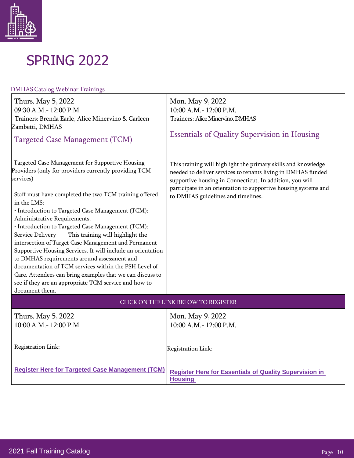

| Thurs. May 5, 2022                                                                                                                                                                                                                                                                                                                                                                                                                                                                                                                                                                                                                                                                                                                                    | Mon. May 9, 2022                                                                                                                                                                                                                                                                                   |  |
|-------------------------------------------------------------------------------------------------------------------------------------------------------------------------------------------------------------------------------------------------------------------------------------------------------------------------------------------------------------------------------------------------------------------------------------------------------------------------------------------------------------------------------------------------------------------------------------------------------------------------------------------------------------------------------------------------------------------------------------------------------|----------------------------------------------------------------------------------------------------------------------------------------------------------------------------------------------------------------------------------------------------------------------------------------------------|--|
| 09:30 A.M.-12:00 P.M.                                                                                                                                                                                                                                                                                                                                                                                                                                                                                                                                                                                                                                                                                                                                 | 10:00 A.M. - 12:00 P.M.                                                                                                                                                                                                                                                                            |  |
| Trainers: Brenda Earle, Alice Minervino & Carleen                                                                                                                                                                                                                                                                                                                                                                                                                                                                                                                                                                                                                                                                                                     | Trainers: Alice Minervino, DMHAS                                                                                                                                                                                                                                                                   |  |
| Zambetti, DMHAS                                                                                                                                                                                                                                                                                                                                                                                                                                                                                                                                                                                                                                                                                                                                       |                                                                                                                                                                                                                                                                                                    |  |
| Targeted Case Management (TCM)                                                                                                                                                                                                                                                                                                                                                                                                                                                                                                                                                                                                                                                                                                                        | <b>Essentials of Quality Supervision in Housing</b>                                                                                                                                                                                                                                                |  |
| Targeted Case Management for Supportive Housing<br>Providers (only for providers currently providing TCM<br>services)<br>Staff must have completed the two TCM training offered<br>in the LMS:<br>· Introduction to Targeted Case Management (TCM):<br>Administrative Requirements.<br>· Introduction to Targeted Case Management (TCM):<br>This training will highlight the<br>Service Delivery<br>intersection of Target Case Management and Permanent<br>Supportive Housing Services. It will include an orientation<br>to DMHAS requirements around assessment and<br>documentation of TCM services within the PSH Level of<br>Care. Attendees can bring examples that we can discuss to<br>see if they are an appropriate TCM service and how to | This training will highlight the primary skills and knowledge<br>needed to deliver services to tenants living in DMHAS funded<br>supportive housing in Connecticut. In addition, you will<br>participate in an orientation to supportive housing systems and<br>to DMHAS guidelines and timelines. |  |
| document them.                                                                                                                                                                                                                                                                                                                                                                                                                                                                                                                                                                                                                                                                                                                                        |                                                                                                                                                                                                                                                                                                    |  |
| CLICK ON THE LINK BELOW TO REGISTER                                                                                                                                                                                                                                                                                                                                                                                                                                                                                                                                                                                                                                                                                                                   |                                                                                                                                                                                                                                                                                                    |  |
| Thurs. May 5, 2022                                                                                                                                                                                                                                                                                                                                                                                                                                                                                                                                                                                                                                                                                                                                    | Mon. May 9, 2022                                                                                                                                                                                                                                                                                   |  |
| 10:00 A.M. - 12:00 P.M.                                                                                                                                                                                                                                                                                                                                                                                                                                                                                                                                                                                                                                                                                                                               | 10:00 A.M. - 12:00 P.M.                                                                                                                                                                                                                                                                            |  |
| Registration Link:                                                                                                                                                                                                                                                                                                                                                                                                                                                                                                                                                                                                                                                                                                                                    | Registration Link:                                                                                                                                                                                                                                                                                 |  |
| <b>Register Here for Targeted Case Management (TCM)</b>                                                                                                                                                                                                                                                                                                                                                                                                                                                                                                                                                                                                                                                                                               | <b>Register Here for Essentials of Quality Supervision in</b><br><b>Housing</b>                                                                                                                                                                                                                    |  |
|                                                                                                                                                                                                                                                                                                                                                                                                                                                                                                                                                                                                                                                                                                                                                       |                                                                                                                                                                                                                                                                                                    |  |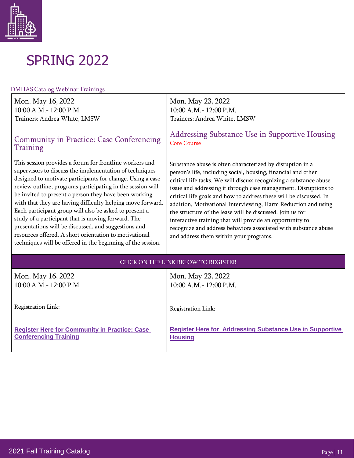

| Mon. May 16, 2022                                                                                                                                                                                                                                                                                                                                                                                                                                                                                                                                                                                                                                                      | Mon. May 23, 2022                                                                                                                                                                                                                                                                                                                                                                                                                                                                                                                                                                                                                                |  |
|------------------------------------------------------------------------------------------------------------------------------------------------------------------------------------------------------------------------------------------------------------------------------------------------------------------------------------------------------------------------------------------------------------------------------------------------------------------------------------------------------------------------------------------------------------------------------------------------------------------------------------------------------------------------|--------------------------------------------------------------------------------------------------------------------------------------------------------------------------------------------------------------------------------------------------------------------------------------------------------------------------------------------------------------------------------------------------------------------------------------------------------------------------------------------------------------------------------------------------------------------------------------------------------------------------------------------------|--|
| 10:00 A.M. - 12:00 P.M.                                                                                                                                                                                                                                                                                                                                                                                                                                                                                                                                                                                                                                                | 10:00 A.M. - 12:00 P.M.                                                                                                                                                                                                                                                                                                                                                                                                                                                                                                                                                                                                                          |  |
| Trainers: Andrea White, LMSW                                                                                                                                                                                                                                                                                                                                                                                                                                                                                                                                                                                                                                           | Trainers: Andrea White, LMSW                                                                                                                                                                                                                                                                                                                                                                                                                                                                                                                                                                                                                     |  |
| Community in Practice: Case Conferencing                                                                                                                                                                                                                                                                                                                                                                                                                                                                                                                                                                                                                               | Addressing Substance Use in Supportive Housing                                                                                                                                                                                                                                                                                                                                                                                                                                                                                                                                                                                                   |  |
| Training                                                                                                                                                                                                                                                                                                                                                                                                                                                                                                                                                                                                                                                               | <b>Core Course</b>                                                                                                                                                                                                                                                                                                                                                                                                                                                                                                                                                                                                                               |  |
| This session provides a forum for frontline workers and<br>supervisors to discuss the implementation of techniques<br>designed to motivate participants for change. Using a case<br>review outline, programs participating in the session will<br>be invited to present a person they have been working<br>with that they are having difficulty helping move forward.<br>Each participant group will also be asked to present a<br>study of a participant that is moving forward. The<br>presentations will be discussed, and suggestions and<br>resources offered. A short orientation to motivational<br>techniques will be offered in the beginning of the session. | Substance abuse is often characterized by disruption in a<br>person's life, including social, housing, financial and other<br>critical life tasks. We will discuss recognizing a substance abuse<br>issue and addressing it through case management. Disruptions to<br>critical life goals and how to address these will be discussed. In<br>addition, Motivational Interviewing, Harm Reduction and using<br>the structure of the lease will be discussed. Join us for<br>interactive training that will provide an opportunity to<br>recognize and address behaviors associated with substance abuse<br>and address them within your programs. |  |
| CLICK ON THE LINK BELOW TO REGISTER                                                                                                                                                                                                                                                                                                                                                                                                                                                                                                                                                                                                                                    |                                                                                                                                                                                                                                                                                                                                                                                                                                                                                                                                                                                                                                                  |  |
| Mon. May 16, 2022                                                                                                                                                                                                                                                                                                                                                                                                                                                                                                                                                                                                                                                      | Mon. May 23, 2022                                                                                                                                                                                                                                                                                                                                                                                                                                                                                                                                                                                                                                |  |
| 10:00 A.M. - 12:00 P.M.                                                                                                                                                                                                                                                                                                                                                                                                                                                                                                                                                                                                                                                | 10:00 A.M. - 12:00 P.M.                                                                                                                                                                                                                                                                                                                                                                                                                                                                                                                                                                                                                          |  |
| Registration Link:                                                                                                                                                                                                                                                                                                                                                                                                                                                                                                                                                                                                                                                     | Registration Link:                                                                                                                                                                                                                                                                                                                                                                                                                                                                                                                                                                                                                               |  |
| <b>Register Here for Community in Practice: Case</b>                                                                                                                                                                                                                                                                                                                                                                                                                                                                                                                                                                                                                   | <b>Register Here for Addressing Substance Use in Supportive</b>                                                                                                                                                                                                                                                                                                                                                                                                                                                                                                                                                                                  |  |
| <b>Conferencing Training</b>                                                                                                                                                                                                                                                                                                                                                                                                                                                                                                                                                                                                                                           | <b>Housing</b>                                                                                                                                                                                                                                                                                                                                                                                                                                                                                                                                                                                                                                   |  |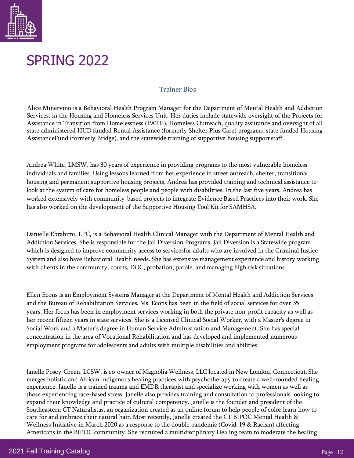

#### Trainer Bios

Alice Minervino is a Behavioral Health Program Manager for the Department of Mental Health and Addiction Services, in the Housing and Homeless Services Unit. Her duties include statewide oversight of the Projects for Assistance in Transition from Homelessness (PATH), Homeless Outreach, quality assurance and oversight of all state administered HUD funded Rental Assistance (formerly Shelter Plus Care) programs, state funded Housing AssistanceFund (formerly Bridge), and the statewide training of supportive housing supportstaff.

Andrea White, LMSW, has 30 years of experience in providing programs to the most vulnerable homeless individuals and families. Using lessons learned from her experience in street outreach, shelter, transitional housing and permanent supportive housing projects, Andrea has provided training and technical assistance to look at the system of care for homeless people and people with disabilities. In the last five years, Andrea has worked extensively with community-based projects to integrate Evidence Based Practices into their work. She has also worked on the development of the Supportive Housing Tool Kit for SAMHSA.

Danielle Ebrahimi, LPC, is a Behavioral Health Clinical Manager with the Department of Mental Health and Addiction Services. She is responsible for the Jail Diversion Programs. Jail Diversion is a Statewide program which is designed to improve community access to servicesfor adults who are involved in the Criminal Justice System and also have Behavioral Health needs. She has extensive management experience and history working with clients in the community, courts, DOC, probation, parole, and managing high risk situations.

Ellen Econs is an Employment Systems Manager at the Department of Mental Health and Addiction Services and the Bureau of Rehabilitation Services. Ms. Econs has been in the field of social services for over 35 years. Her focus has been in employment services working in both the private non-profit capacity as well as her recent fifteen years in state services. She is a Licensed Clinical Social Worker, with a Master's degree in Social Work and a Master's degree in Human Service Administration and Management. She has special concentration in the area of Vocational Rehabilitation and has developed and implemented numerous employment programs for adolescents and adults with multiple disabilities and abilities.

Janelle Posey-Green, LCSW, is co-owner of Magnolia Wellness, LLC located in New London, Connecticut. She merges holistic and African indigenous healing practices with psychotherapy to create a well-rounded healing experience. Janelle is a trained trauma and EMDR therapist and specialize working with women as well as those experiencing race-based stress. Janelle also provides training and consultation to professionals looking to expand their knowledge and practice of cultural competency. Janelle is the founder and president of the Southeastern CT Naturalistas, an organization created as an online forum to help people of color learn how to care for and embrace their natural hair. Most recently, Janelle created the CT BIPOC Mental Health & Wellness Initiative in March 2020 as a response to the double pandemic (Covid-19 & Racism) affecting Americans in the BIPOC community. She recruited a multidisciplinary Healing team to moderate the healing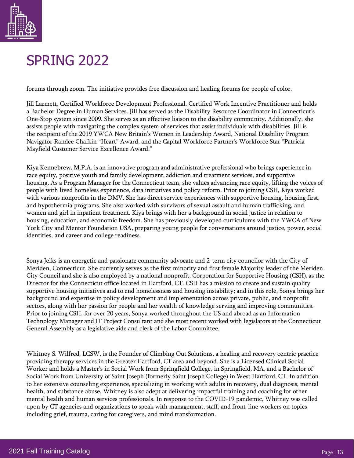

forums through zoom. The initiative provides free discussion and healing forums for people of color.

Jill Larmett, Certified Workforce Development Professional, Certified Work Incentive Practitioner and holds a Bachelor Degree in Human Services. Jill has served as the Disability Resource Coordinator in Connecticut's One-Stop system since 2009. She serves as an effective liaison to the disability community. Additionally, she assists people with navigating the complex system of services that assist individuals with disabilities. Jill is the recipient of the 2019 YWCA New Britain's Women in Leadership Award, National Disability Program Navigator Randee Chafkin "Heart" Award, and the Capital Workforce Partner's Workforce Star "Patricia Mayfield Customer Service Excellence Award."

Kiya Kennebrew, M.P.A, is an innovative program and administrative professional who brings experience in race equity, positive youth and family development, addiction and treatment services, and supportive housing. As a Program Manager for the Connecticut team, she values advancing race equity, lifting the voices of people with lived homeless experience, data initiatives and policy reform. Prior to joining CSH, Kiya worked with various nonprofits in the DMV. She has direct service experiences with supportive housing, housing first, and hypothermia programs. She also worked with survivors of sexual assault and human trafficking, and women and girl in inpatient treatment. Kiya brings with her a background in social justice in relation to housing, education, and economic freedom. She has previously developed curriculums with the YWCA of New York City and Mentor Foundation USA, preparing young people for conversations around justice, power, social identities, and career and college readiness.

Sonya Jelks is an energetic and passionate community advocate and 2-term city councilor with the City of Meriden, Connecticut. She currently serves as the first minority and first female Majority leader of the Meriden City Council and she is also employed by a national nonprofit, Corporation for Supportive Housing (CSH), as the Director for the Connecticut office located in Hartford, CT. CSH has a mission to create and sustain quality supportive housing initiatives and to end homelessness and housing instability; and in this role, Sonya brings her background and expertise in policy development and implementation across private, public, and nonprofit sectors, along with her passion for people and her wealth of knowledge serving and improving communities. Prior to joining CSH, for over 20 years, Sonya worked throughout the US and abroad as an Information Technology Manager and IT Project Consultant and she most recent worked with legislators at the Connecticut General Assembly as a legislative aide and clerk of the Labor Committee.

Whitney S. Wilfred, LCSW, is the Founder of Climbing Out Solutions, a healing and recovery centric practice providing therapy services in the Greater Hartford, CT area and beyond. She is a Licensed Clinical Social Worker and holds a Master's in Social Work from Springfield College, in Springfield, MA, and a Bachelor of Social Work from University of Saint Joseph (formerly Saint Joseph College) in West Hartford, CT. In addition to her extensive counseling experience, specializing in working with adults in recovery, dual diagnosis, mental health, and substance abuse, Whitney is also adept at delivering impactful training and coaching for other mental health and human services professionals. In response to the COVID-19 pandemic, Whitney was called upon by CT agencies and organizations to speak with management, staff, and front-line workers on topics including grief, trauma, caring for caregivers, and mind transformation.